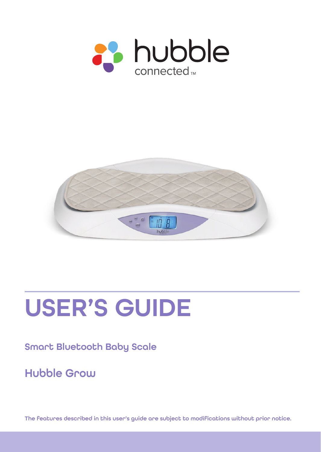



# USER'S GUIDE

#### Smart Bluetooth Baby Scale

Hubble Grow

The features described in this user's guide are subject to modifications without prior notice.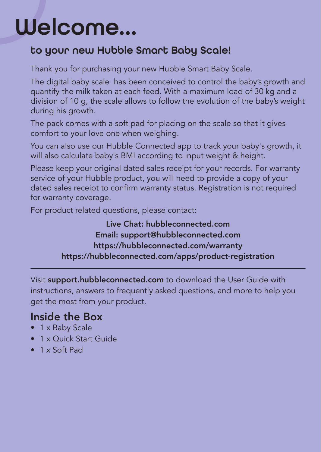# Welcome...

#### to your new Hubble Smart Baby Scale!

Thank you for purchasing your new Hubble Smart Baby Scale.

The digital baby scale has been conceived to control the baby's growth and quantify the milk taken at each feed. With a maximum load of 30 kg and a division of 10 g, the scale allows to follow the evolution of the baby's weight during his growth.

The pack comes with a soft pad for placing on the scale so that it gives comfort to your love one when weighing.

You can also use our Hubble Connected app to track your baby's growth, it will also calculate baby's BMI according to input weight & height.

Please keep your original dated sales receipt for your records. For warranty service of your Hubble product, you will need to provide a copy of your dated sales receipt to confrm warranty status. Registration is not required for warranty coverage.

For product related questions, please contact:

Live Chat: hubbleconnected.com Email: support@hubbleconnected.com https://hubbleconnected.com/warranty https://hubbleconnected.com/apps/product-registration

Visit support.hubbleconnected.com to download the User Guide with instructions, answers to frequently asked questions, and more to help you get the most from your product.

#### Inside the Box

- 1 x Baby Scale
- 1 x Quick Start Guide
- 1 x Soft Pad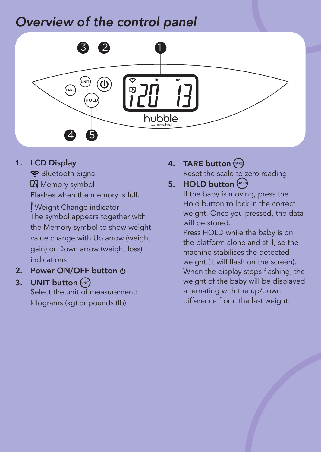### Overview of the control panel



1. LCD Display

 Bluetooth Signal **IQ** Memory symbol Flashes when the memory is full.

 Weight Change indicator The symbol appears together with the Memory symbol to show weight value change with Up arrow (weight gain) or Down arrow (weight loss) indications.

2. Power ON/OFF button  $\phi$ 

#### 3. UNIT button (MIT)

Select the unit of measurement: kilograms (kg) or pounds (lb).

4. TARE button  $\binom{R}{A}$ Reset the scale to zero reading.

#### 5. HOLD button (sou)

If the baby is moving, press the Hold button to lock in the correct weight. Once you pressed, the data will be stored.

 Press HOLD while the baby is on the platform alone and still, so the machine stabilises the detected weight (it will flash on the screen). When the display stops flashing, the weight of the baby will be displayed alternating with the up/down difference from the last weight.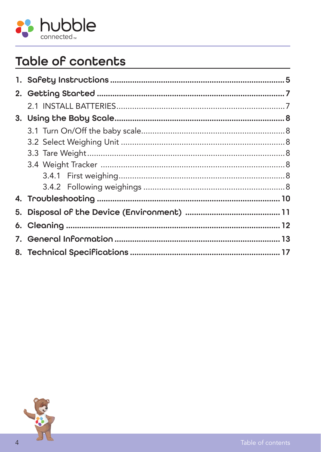

### Table of contents

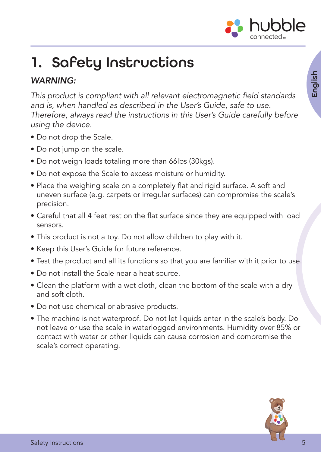

# <span id="page-4-0"></span>1. Safety Instructions

#### WARNING:

This product is compliant with all relevant electromagnetic field standards and is, when handled as described in the User's Guide, safe to use. Therefore, always read the instructions in this User's Guide carefully before using the device.

- Do not drop the Scale.
- Do not jump on the scale.
- Do not weigh loads totaling more than 66lbs (30kgs).
- Do not expose the Scale to excess moisture or humidity.
- Place the weighing scale on a completely flat and rigid surface. A soft and uneven surface (e.g. carpets or irregular surfaces) can compromise the scale's precision.
- Careful that all 4 feet rest on the flat surface since they are equipped with load sensors.
- This product is not a toy. Do not allow children to play with it.
- Keep this User's Guide for future reference.
- Test the product and all its functions so that you are familiar with it prior to use.
- Do not install the Scale near a heat source.
- Clean the platform with a wet cloth, clean the bottom of the scale with a dry and soft cloth.
- Do not use chemical or abrasive products.
- The machine is not waterproof. Do not let liquids enter in the scale's body. Do not leave or use the scale in waterlogged environments. Humidity over 85% or contact with water or other liquids can cause corrosion and compromise the scale's correct operating.

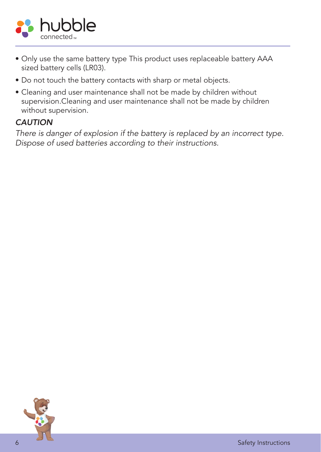

- Only use the same battery type This product uses replaceable battery AAA sized battery cells (LR03).
- Do not touch the battery contacts with sharp or metal objects.
- Cleaning and user maintenance shall not be made by children without supervision.Cleaning and user maintenance shall not be made by children without supervision.

#### **CAUTION**

There is danger of explosion if the battery is replaced by an incorrect type. Dispose of used batteries according to their instructions.

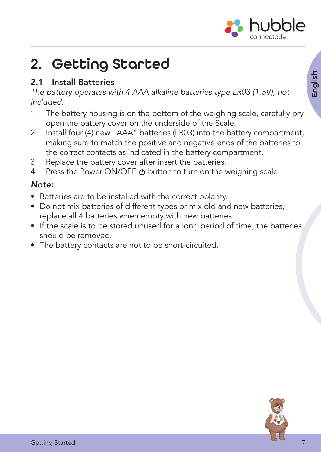

### <span id="page-6-0"></span>2. Getting Started

#### 2.1 Install Batteries

The battery operates with 4 AAA alkaline batteries type LR03 (1.5V), not included.

- 1. The battery housing is on the bottom of the weighing scale, carefully pry open the battery cover on the underside of the Scale.
- 2. Install four (4) new "AAA" batteries (LR03) into the battery compartment, making sure to match the positive and negative ends of the batteries to the correct contacts as indicated in the battery compartment.
- 3. Replace the battery cover after insert the batteries.
- 4. Press the Power ON/OFF  $\Phi$  button to turn on the weighing scale.

#### Note:

- Batteries are to be installed with the correct polarity.
- Do not mix batteries of different types or mix old and new batteries, replace all 4 batteries when empty with new batteries.
- If the scale is to be stored unused for a long period of time, the batteries should be removed.
- The battery contacts are not to be short-circuited.

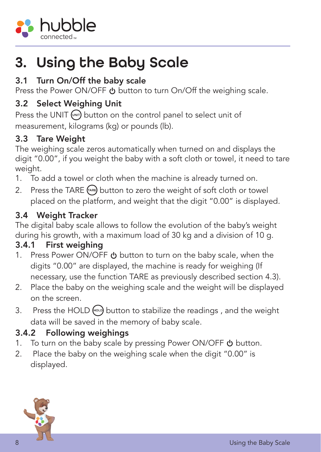<span id="page-7-0"></span>

### 3. Using the Baby Scale

#### 3.1 Turn On/Off the baby scale

Press the Power ON/OFF  $\psi$  button to turn On/Off the weighing scale.

#### 3.2 Select Weighing Unit

Press the UNIT  $(m)$  button on the control panel to select unit of measurement, kilograms (kg) or pounds (lb).

#### 3.3 Tare Weight

The weighing scale zeros automatically when turned on and displays the digit "0.00", if you weight the baby with a soft cloth or towel, it need to tare weight.

- 1. To add a towel or cloth when the machine is already turned on.
- 2. Press the TARE  $F^{(AR)}$  button to zero the weight of soft cloth or towel placed on the platform, and weight that the digit "0.00" is displayed.

#### 3.4 Weight Tracker

The digital baby scale allows to follow the evolution of the baby's weight during his growth, with a maximum load of 30 kg and a division of 10 g.

#### 3.4.1 First weighing

- 1. Press Power ON/OFF  $\psi$  button to turn on the baby scale, when the digits "0.00" are displayed, the machine is ready for weighing (If necessary, use the function TARE as previously described section 4.3).
- 2. Place the baby on the weighing scale and the weight will be displayed on the screen.
- 3. Press the HOLD  $\left(\begin{array}{cc} \bullet & \bullet \\ \bullet & \bullet \end{array}\right)$  button to stabilize the readings, and the weight data will be saved in the memory of baby scale.

#### 3.4.2 Following weighings

- 1. To turn on the baby scale by pressing Power ON/OFF  $\bigcirc$  button.
- 2. Place the baby on the weighing scale when the digit "0.00" is displayed.

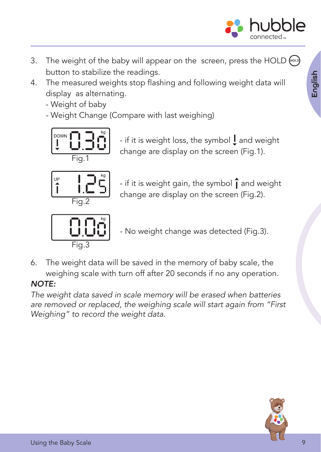

- 3. The weight of the baby will appear on the screen, press the HOLD  $\lll$ button to stabilize the readings.
- 4. The measured weights stop flashing and following weight data will display as alternating.
	- Weight of baby
	- Weight Change (Compare with last weighing)



- if it is weight loss, the symbol  $\mathsf I$  and weight change are display on the screen (Fig.1).



- if it is weight gain, the symbol  $\hat{\mathbf{l}}$  and weight change are display on the screen (Fig.2).



- No weight change was detected (Fig.3).

6. The weight data will be saved in the memory of baby scale, the weighing scale with turn off after 20 seconds if no any operation.

#### NOTE:

The weight data saved in scale memory will be erased when batteries are removed or replaced, the weighing scale will start again from "First Weighing" to record the weight data.

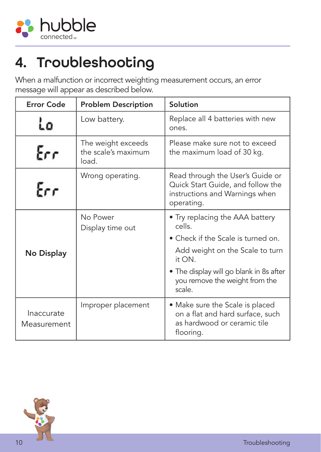<span id="page-9-0"></span>

## 4. Troubleshooting

When a malfunction or incorrect weighting measurement occurs, an error message will appear as described below.

| Error Code                | <b>Problem Description</b>                         | Solution                                                                                                              |
|---------------------------|----------------------------------------------------|-----------------------------------------------------------------------------------------------------------------------|
|                           | Low battery.                                       | Replace all 4 batteries with new<br>ones.                                                                             |
| Err                       | The weight exceeds<br>the scale's maximum<br>load. | Please make sure not to exceed<br>the maximum load of 30 kg.                                                          |
| Err                       | Wrong operating.                                   | Read through the User's Guide or<br>Quick Start Guide, and follow the<br>instructions and Warnings when<br>operating. |
|                           | No Power<br>Display time out                       | • Try replacing the AAA battery<br>cells.                                                                             |
|                           |                                                    | • Check if the Scale is turned on.                                                                                    |
| No Display                |                                                    | Add weight on the Scale to turn<br>it ON.                                                                             |
|                           |                                                    | • The display will go blank in 8s after<br>you remove the weight from the<br>scale.                                   |
| Inaccurate<br>Measurement | Improper placement                                 | • Make sure the Scale is placed<br>on a flat and hard surface, such<br>as hardwood or ceramic tile<br>flooring.       |

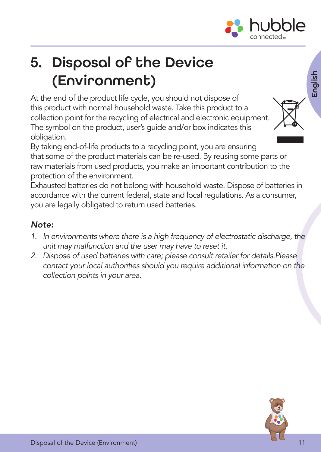

## <span id="page-10-0"></span>5. Disposal of the Device (Environment)

At the end of the product life cycle, you should not dispose of this product with normal household waste. Take this product to a collection point for the recycling of electrical and electronic equipment. The symbol on the product, user's guide and/or box indicates this obligation.



By taking end-of-life products to a recycling point, you are ensuring that some of the product materials can be re-used. By reusing some parts or raw materials from used products, you make an important contribution to the protection of the environment.

Exhausted batteries do not belong with household waste. Dispose of batteries in accordance with the current federal, state and local regulations. As a consumer, you are legally obligated to return used batteries.

#### Note:

- 1. In environments where there is a high frequency of electrostatic discharge, the unit may malfunction and the user may have to reset it.
- 2. Dispose of used batteries with care; please consult retailer for details.Please contact your local authorities should you require additional information on the collection points in your area.

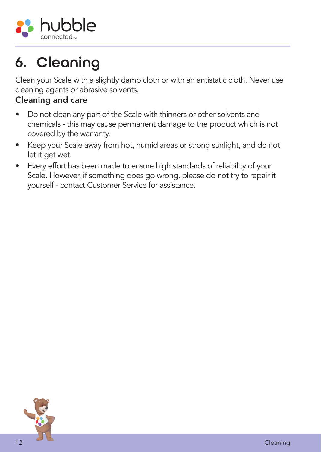<span id="page-11-0"></span>

## 6. Cleaning

Clean your Scale with a slightly damp cloth or with an antistatic cloth. Never use cleaning agents or abrasive solvents.

#### Cleaning and care

- Do not clean any part of the Scale with thinners or other solvents and chemicals - this may cause permanent damage to the product which is not covered by the warranty.
- Keep your Scale away from hot, humid areas or strong sunlight, and do not let it get wet.
- Every effort has been made to ensure high standards of reliability of your Scale. However, if something does go wrong, please do not try to repair it yourself - contact Customer Service for assistance.

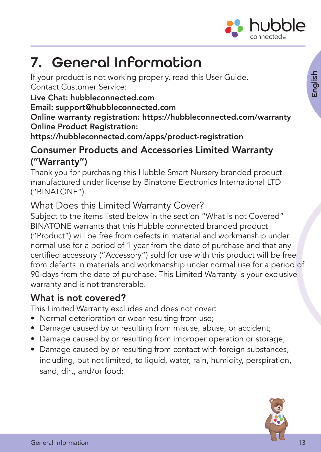

### <span id="page-12-0"></span>7. General Information

If your product is not working properly, read this User Guide. Contact Customer Service:

Live Chat: hubbleconnected.com

Email: support@hubbleconnected.com

Online warranty registration: https://hubbleconnected.com/warranty Online Product Registration:

https://hubbleconnected.com/apps/product-registration

#### Consumer Products and Accessories Limited Warranty ("Warranty")

Thank you for purchasing this Hubble Smart Nursery branded product manufactured under license by Binatone Electronics International LTD ("BINATONE").

#### What Does this Limited Warranty Cover?

Subject to the items listed below in the section "What is not Covered" BINATONE warrants that this Hubble connected branded product ("Product") will be free from defects in material and workmanship under normal use for a period of 1 year from the date of purchase and that any certifed accessory ("Accessory") sold for use with this product will be free from defects in materials and workmanship under normal use for a period of 90-days from the date of purchase. This Limited Warranty is your exclusive warranty and is not transferable.

#### What is not covered?

This Limited Warranty excludes and does not cover:

- Normal deterioration or wear resulting from use;
- Damage caused by or resulting from misuse, abuse, or accident;
- Damage caused by or resulting from improper operation or storage;
- Damage caused by or resulting from contact with foreign substances, including, but not limited, to liquid, water, rain, humidity, perspiration, sand, dirt, and/or food;

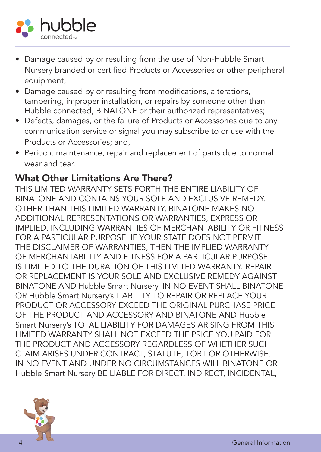

- Damage caused by or resulting from the use of Non-Hubble Smart Nursery branded or certifed Products or Accessories or other peripheral equipment;
- Damage caused by or resulting from modifications, alterations, tampering, improper installation, or repairs by someone other than Hubble connected, BINATONE or their authorized representatives;
- Defects, damages, or the failure of Products or Accessories due to any communication service or signal you may subscribe to or use with the Products or Accessories; and,
- Periodic maintenance, repair and replacement of parts due to normal wear and tear.

#### What Other Limitations Are There?

THIS LIMITED WARRANTY SETS FORTH THE ENTIRE LIABILITY OF BINATONE AND CONTAINS YOUR SOLE AND EXCLUSIVE REMEDY. OTHER THAN THIS LIMITED WARRANTY, BINATONE MAKES NO ADDITIONAL REPRESENTATIONS OR WARRANTIES, EXPRESS OR IMPLIED, INCLUDING WARRANTIES OF MERCHANTABILITY OR FITNESS FOR A PARTICULAR PURPOSE. IF YOUR STATE DOES NOT PERMIT THE DISCLAIMER OF WARRANTIES, THEN THE IMPLIED WARRANTY OF MERCHANTABILITY AND FITNESS FOR A PARTICULAR PURPOSE IS LIMITED TO THE DURATION OF THIS LIMITED WARRANTY. REPAIR OR REPLACEMENT IS YOUR SOLE AND EXCLUSIVE REMEDY AGAINST BINATONE AND Hubble Smart Nursery. IN NO EVENT SHALL BINATONE OR Hubble Smart Nursery's LIABILITY TO REPAIR OR REPLACE YOUR PRODUCT OR ACCESSORY EXCEED THE ORIGINAL PURCHASE PRICE OF THE PRODUCT AND ACCESSORY AND BINATONE AND Hubble Smart Nursery's TOTAL LIABILITY FOR DAMAGES ARISING FROM THIS LIMITED WARRANTY SHALL NOT EXCEED THE PRICE YOU PAID FOR THE PRODUCT AND ACCESSORY REGARDLESS OF WHETHER SUCH CLAIM ARISES UNDER CONTRACT, STATUTE, TORT OR OTHERWISE. IN NO EVENT AND UNDER NO CIRCUMSTANCES WILL BINATONE OR Hubble Smart Nursery BE LIABLE FOR DIRECT, INDIRECT, INCIDENTAL,

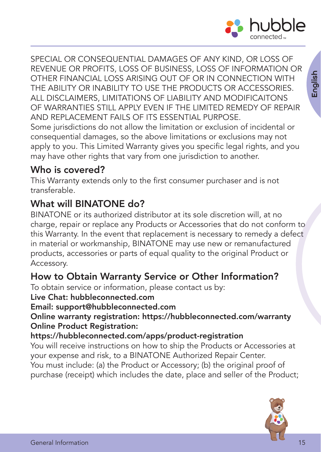

SPECIAL OR CONSEQUENTIAL DAMAGES OF ANY KIND, OR LOSS OF REVENUE OR PROFITS, LOSS OF BUSINESS, LOSS OF INFORMATION OR OTHER FINANCIAL LOSS ARISING OUT OF OR IN CONNECTION WITH THE ABILITY OR INABILITY TO USE THE PRODUCTS OR ACCESSORIES. ALL DISCLAIMERS, LIMITATIONS OF LIABILITY AND MODIFICAITONS OF WARRANTIES STILL APPLY EVEN IF THE LIMITED REMEDY OF REPAIR AND REPLACEMENT FAILS OF ITS ESSENTIAL PURPOSE.

Some jurisdictions do not allow the limitation or exclusion of incidental or consequential damages, so the above limitations or exclusions may not apply to you. This Limited Warranty gives you specific legal rights, and you may have other rights that vary from one jurisdiction to another.

#### Who is covered?

This Warranty extends only to the first consumer purchaser and is not transferable.

#### What will BINATONE do?

BINATONE or its authorized distributor at its sole discretion will, at no charge, repair or replace any Products or Accessories that do not conform to this Warranty. In the event that replacement is necessary to remedy a defect in material or workmanship, BINATONE may use new or remanufactured products, accessories or parts of equal quality to the original Product or Accessory.

#### How to Obtain Warranty Service or Other Information?

To obtain service or information, please contact us by:

Live Chat: hubbleconnected.com

Email: support@hubbleconnected.com

Online warranty registration: https://hubbleconnected.com/warranty Online Product Registration:

#### https://hubbleconnected.com/apps/product-registration

You will receive instructions on how to ship the Products or Accessories at your expense and risk, to a BINATONE Authorized Repair Center. You must include: (a) the Product or Accessory; (b) the original proof of purchase (receipt) which includes the date, place and seller of the Product;

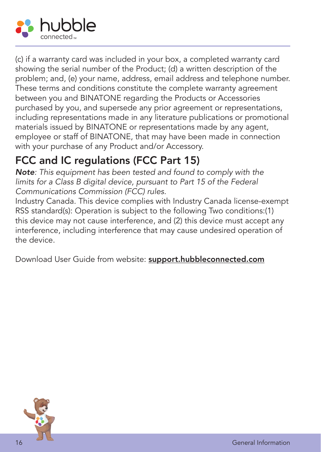

(c) if a warranty card was included in your box, a completed warranty card showing the serial number of the Product; (d) a written description of the problem; and, (e) your name, address, email address and telephone number. These terms and conditions constitute the complete warranty agreement between you and BINATONE regarding the Products or Accessories purchased by you, and supersede any prior agreement or representations, including representations made in any literature publications or promotional materials issued by BINATONE or representations made by any agent, employee or staff of BINATONE, that may have been made in connection with your purchase of any Product and/or Accessory.

### FCC and IC regulations (FCC Part 15)

Note: This equipment has been tested and found to comply with the limits for a Class B digital device, pursuant to Part 15 of the Federal Communications Commission (FCC) rules.

Industry Canada. This device complies with Industry Canada license-exempt RSS standard(s): Operation is subject to the following Two conditions:(1) this device may not cause interference, and (2) this device must accept any interference, including interference that may cause undesired operation of the device.

Download User Guide from website: support.hubbleconnected.com

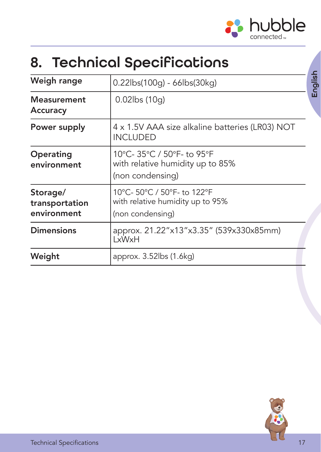

English

## <span id="page-16-0"></span>8. Technical Specifications

| Weigh range                               | 0.22lbs(100g) - 66lbs(30kg)                                                         |  |
|-------------------------------------------|-------------------------------------------------------------------------------------|--|
| <b>Measurement</b><br>Accuracy            | $0.02$ lbs (10q)                                                                    |  |
| Power supply                              | 4 x 1.5V AAA size alkaline batteries (LR03) NOT<br><b>INCLUDED</b>                  |  |
| Operating<br>environment                  | 10°C-35°C / 50°F-to 95°F<br>with relative humidity up to 85%<br>(non condensing)    |  |
| Storage/<br>transportation<br>environment | 10°C- 50°C / 50°F- to 122°F<br>with relative humidity up to 95%<br>(non condensing) |  |
| <b>Dimensions</b>                         | approx. 21.22"x13"x3.35" (539x330x85mm)<br>LxWxH                                    |  |
| Weight                                    | approx. 3.52lbs (1.6kg)                                                             |  |